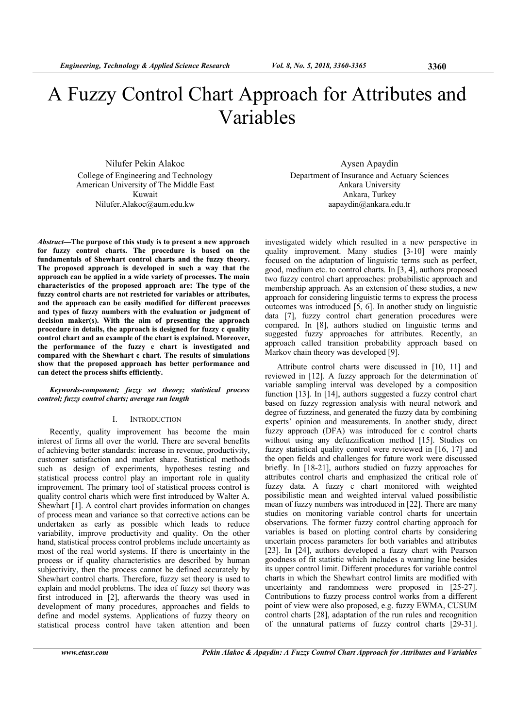# A Fuzzy Control Chart Approach for Attributes and Variables

Nilufer Pekin Alakoc College of Engineering and Technology American University of The Middle East Kuwait Nilufer.Alakoc@aum.edu.kw

*Abstract***—The purpose of this study is to present a new approach for fuzzy control charts. The procedure is based on the fundamentals of Shewhart control charts and the fuzzy theory. The proposed approach is developed in such a way that the approach can be applied in a wide variety of processes. The main characteristics of the proposed approach are: The type of the fuzzy control charts are not restricted for variables or attributes, and the approach can be easily modified for different processes and types of fuzzy numbers with the evaluation or judgment of decision maker(s). With the aim of presenting the approach procedure in details, the approach is designed for fuzzy c quality control chart and an example of the chart is explained. Moreover, the performance of the fuzzy c chart is investigated and compared with the Shewhart c chart. The results of simulations show that the proposed approach has better performance and can detect the process shifts efficiently.** 

*Keywords-component; fuzzy set theory; statistical process control; fuzzy control charts; average run length* 

## I. INTRODUCTION

Recently, quality improvement has become the main interest of firms all over the world. There are several benefits of achieving better standards: increase in revenue, productivity, customer satisfaction and market share. Statistical methods such as design of experiments, hypotheses testing and statistical process control play an important role in quality improvement. The primary tool of statistical process control is quality control charts which were first introduced by Walter A. Shewhart [1]. A control chart provides information on changes of process mean and variance so that corrective actions can be undertaken as early as possible which leads to reduce variability, improve productivity and quality. On the other hand, statistical process control problems include uncertainty as most of the real world systems. If there is uncertainty in the process or if quality characteristics are described by human subjectivity, then the process cannot be defined accurately by Shewhart control charts. Therefore, fuzzy set theory is used to explain and model problems. The idea of fuzzy set theory was first introduced in [2], afterwards the theory was used in development of many procedures, approaches and fields to define and model systems. Applications of fuzzy theory on statistical process control have taken attention and been

Aysen Apaydin Department of Insurance and Actuary Sciences Ankara University Ankara, Turkey aapaydin@ankara.edu.tr

investigated widely which resulted in a new perspective in quality improvement. Many studies [3-10] were mainly focused on the adaptation of linguistic terms such as perfect, good, medium etc. to control charts. In [3, 4], authors proposed two fuzzy control chart approaches: probabilistic approach and membership approach. As an extension of these studies, a new approach for considering linguistic terms to express the process outcomes was introduced [5, 6]. In another study on linguistic data [7], fuzzy control chart generation procedures were compared. In [8], authors studied on linguistic terms and suggested fuzzy approaches for attributes. Recently, an approach called transition probability approach based on Markov chain theory was developed [9].

Attribute control charts were discussed in [10, 11] and reviewed in [12]. A fuzzy approach for the determination of variable sampling interval was developed by a composition function [13]. In [14], authors suggested a fuzzy control chart based on fuzzy regression analysis with neural network and degree of fuzziness, and generated the fuzzy data by combining experts' opinion and measurements. In another study, direct fuzzy approach (DFA) was introduced for c control charts without using any defuzzification method [15]. Studies on fuzzy statistical quality control were reviewed in [16, 17] and the open fields and challenges for future work were discussed briefly. In [18-21], authors studied on fuzzy approaches for attributes control charts and emphasized the critical role of fuzzy data. A fuzzy c chart monitored with weighted possibilistic mean and weighted interval valued possibilistic mean of fuzzy numbers was introduced in [22]. There are many studies on monitoring variable control charts for uncertain observations. The former fuzzy control charting approach for variables is based on plotting control charts by considering uncertain process parameters for both variables and attributes [23]. In [24], authors developed a fuzzy chart with Pearson goodness of fit statistic which includes a warning line besides its upper control limit. Different procedures for variable control charts in which the Shewhart control limits are modified with uncertainty and randomness were proposed in [25-27]. Contributions to fuzzy process control works from a different point of view were also proposed, e.g. fuzzy EWMA, CUSUM control charts [28], adaptation of the run rules and recognition of the unnatural patterns of fuzzy control charts [29-31].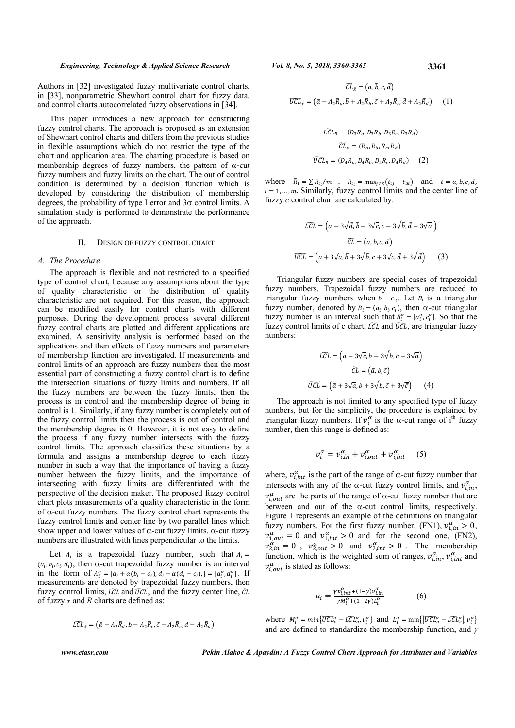Authors in [32] investigated fuzzy multivariate control charts, in [33], nonparametric Shewhart control chart for fuzzy data, and control charts autocorrelated fuzzy observations in [34].

This paper introduces a new approach for constructing fuzzy control charts. The approach is proposed as an extension of Shewhart control charts and differs from the previous studies in flexible assumptions which do not restrict the type of the chart and application area. The charting procedure is based on membership degrees of fuzzy numbers, the pattern of  $\alpha$ -cut fuzzy numbers and fuzzy limits on the chart. The out of control condition is determined by a decision function which is developed by considering the distribution of membership degrees, the probability of type I error and  $3\sigma$  control limits. A simulation study is performed to demonstrate the performance of the approach.

### II. DESIGN OF FUZZY CONTROL CHART

## *A. The Procedure*

The approach is flexible and not restricted to a specified type of control chart, because any assumptions about the type of quality characteristic or the distribution of quality characteristic are not required. For this reason, the approach can be modified easily for control charts with different purposes. During the development process several different fuzzy control charts are plotted and different applications are examined. A sensitivity analysis is performed based on the applications and then effects of fuzzy numbers and parameters of membership function are investigated. If measurements and control limits of an approach are fuzzy numbers then the most essential part of constructing a fuzzy control chart is to define the intersection situations of fuzzy limits and numbers. If all the fuzzy numbers are between the fuzzy limits, then the process is in control and the membership degree of being in control is 1. Similarly, if any fuzzy number is completely out of the fuzzy control limits then the process is out of control and the membership degree is 0. However, it is not easy to define the process if any fuzzy number intersects with the fuzzy control limits. The approach classifies these situations by a formula and assigns a membership degree to each fuzzy number in such a way that the importance of having a fuzzy number between the fuzzy limits, and the importance of intersecting with fuzzy limits are differentiated with the perspective of the decision maker. The proposed fuzzy control chart plots measurements of a quality characteristic in the form of  $\alpha$ -cut fuzzy numbers. The fuzzy control chart represents the fuzzy control limits and center line by two parallel lines which show upper and lower values of  $\alpha$ -cut fuzzy limits.  $\alpha$ -cut fuzzy numbers are illustrated with lines perpendicular to the limits.

Let  $A_i$  is a trapezoidal fuzzy number, such that  $A_i =$  $(a_i, b_i, c_i, d_i)$ , then  $\alpha$ -cut trapezoidal fuzzy number is an interval in the form of  $A_i^{\alpha} = [a_i + \alpha(b_i - a_i), d_i - \alpha(d_i - c_i)] = [a_i^{\alpha}, d_i^{\alpha}]$ . If measurements are denoted by trapezoidal fuzzy numbers, then fuzzy control limits,  $L\tilde{C}L$  and  $\tilde{U}\tilde{C}L$ , and the fuzzy center line,  $\tilde{C}L$ of fuzzy  $\bar{x}$  and *R* charts are defined as:

$$
\widetilde{LCL}_{\bar{x}} = (\bar{a} - A_2 \bar{R}_d, \bar{b} - A_2 \bar{R}_c, \bar{c} - A_2 \bar{R}_c, \bar{d} - A_2 \bar{R}_a)
$$

$$
Vol. 8, No. 5, 2018, 3360-3365
$$

$$
\widetilde{CL}_{\bar{x}} = (\bar{a}, \bar{b}, \bar{c}, \bar{d})
$$

$$
\widetilde{UCL}_{\bar{x}} = (\bar{a} - A_2 \bar{R}_a, \bar{b} + A_2 \bar{R}_b, \bar{c} + A_2 \bar{R}_c, \bar{d} + A_2 \bar{R}_d) \qquad (1)
$$

$$
\begin{aligned} L\widetilde{C}L_R &= (D_3\overline{R}_a, D_3\overline{R}_b, D_3\overline{R}_c, D_3\overline{R}_d) \\ \widetilde{C}L_R &= (\overline{R}_a, \overline{R}_b, \overline{R}_c, \overline{R}_d) \\ \widetilde{U}\widetilde{C}L_R &= (D_4\overline{R}_a, D_4\overline{R}_b, D_4\overline{R}_c, D_4\overline{R}_d) \end{aligned}
$$

where  $\bar{R}_t = \sum R_{i_t}/m$ ,  $R_{i_t} = \max_{j \neq k} (t_{i_j} - t_{ik})$  and  $t = a, b, c, d$ ,  $i = 1, \ldots, m$ . Similarly, fuzzy control limits and the center line of fuzzy *c* control chart are calculated by:

$$
\begin{aligned}\n\widetilde{LCL} &= \left(\bar{a} - 3\sqrt{\bar{d}}, \bar{b} - 3\sqrt{\bar{c}}, \bar{c} - 3\sqrt{\bar{b}}, \bar{d} - 3\sqrt{\bar{a}}\right) \\
\widetilde{CL} &= \left(\bar{a}, \bar{b}, \bar{c}, \bar{d}\right) \\
\widetilde{UCL} &= \left(\bar{a} + 3\sqrt{\bar{a}}, \bar{b} + 3\sqrt{\bar{b}}, \bar{c} + 3\sqrt{\bar{c}}, \bar{d} + 3\sqrt{\bar{d}}\right)\n\end{aligned}
$$
\n(3)

Triangular fuzzy numbers are special cases of trapezoidal fuzzy numbers. Trapezoidal fuzzy numbers are reduced to triangular fuzzy numbers when  $b = c$ . Let  $B_i$  is a triangular fuzzy number, denoted by  $B_i = (a_i, b_i, c_i)$ , then  $\alpha$ -cut triangular fuzzy number is an interval such that  $B_i^{\alpha} = [a_i^{\alpha}, c_i^{\alpha}]$ . So that the fuzzy control limits of c chart,  $L\widetilde{c}L$  and  $\widetilde{UCL}$ , are triangular fuzzy numbers:

$$
\begin{aligned}\n\widetilde{LCL} &= \left(\bar{a} - 3\sqrt{\bar{c}}, \bar{b} - 3\sqrt{\bar{b}}, \bar{c} - 3\sqrt{\bar{a}}\right) \\
\widetilde{CL} &= \left(\bar{a}, \bar{b}, \bar{c}\right) \\
\widetilde{UCL} &= \left(\bar{a} + 3\sqrt{\bar{a}}, \bar{b} + 3\sqrt{\bar{b}}, \bar{c} + 3\sqrt{\bar{c}}\right)\n\end{aligned} \tag{4}
$$

The approach is not limited to any specified type of fuzzy numbers, but for the simplicity, the procedure is explained by triangular fuzzy numbers. If  $v_i^α$  is the α-cut range of i<sup>th</sup> fuzzy number, then this range is defined as:

$$
v_i^{\alpha} = v_{i,in}^{\alpha} + v_{i,out}^{\alpha} + v_{i,int}^{\alpha} \quad (5)
$$

where,  $v_{i,int}^{\alpha}$  is the part of the range of  $\alpha$ -cut fuzzy number that intersects with any of the  $\alpha$ -cut fuzzy control limits, and  $v_{i,in}^{\alpha}$ ,  $v_{i,out}^{\alpha}$  are the parts of the range of  $\alpha$ -cut fuzzy number that are between and out of the  $\alpha$ -cut control limits, respectively. Figure 1 represents an example of the definitions on triangular fuzzy numbers. For the first fuzzy number, (FN1),  $v_{1,in}^{\alpha} > 0$ ,  $v_{1,out}^{\alpha} = 0$  and  $v_{1,int}^{\alpha} > 0$  and for the second one, (FN2),  $v_{2,in}^{\alpha} = 0$ ,  $v_{2,out}^{\alpha} > 0$  and  $v_{2,int}^{\alpha} > 0$ . The membership function, which is the weighted sum of ranges,  $v_{i,in}^{\alpha}$ ,  $v_{i,int}^{\alpha}$  and  $v_{i,out}^{\alpha}$  is stated as follows:

$$
\mu_i = \frac{\gamma v_{i,int}^{\alpha} + (1 - \gamma)v_{i,in}^{\alpha}}{\gamma M_i^{\alpha} + (1 - 2\gamma)L_i^{\alpha}}
$$
(6)

where  $M_i^{\alpha} = min\{\widetilde{UCL}_{c}^{\alpha} - \widetilde{LCL}_{a}^{\alpha}, v_i^{\alpha}\}\$  and  $L_i^{\alpha} = min\{\widetilde{UCL}_{a}^{\alpha} - \widetilde{LCL}_{c}^{\alpha}\}, v_i^{\alpha}\}$ and are defined to standardize the membership function, and  $\gamma$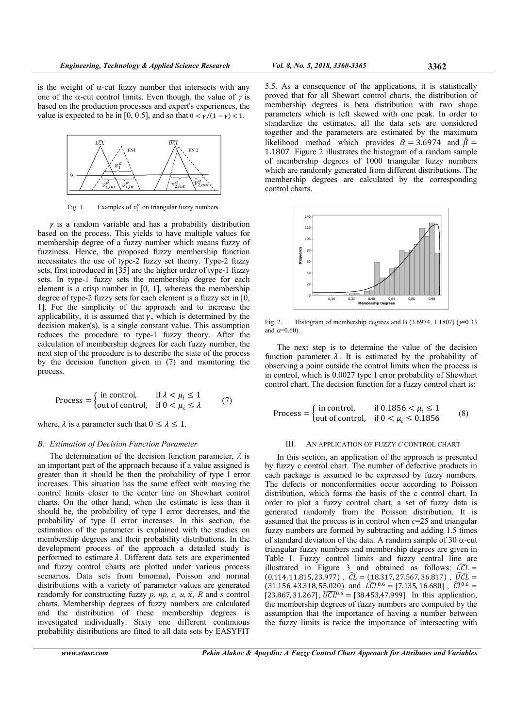

Fig. 1. Examples of  $v_i^{\alpha}$  on triangular fuzzy numbers.

 $\gamma$  is a random variable and has a probability distribution based on the process. This yields to have multiple values for membership degree of a fuzzy number which means fuzzy of fuzziness. Hence, the proposed fuzzy membership function necessitates the use of type-2 fuzzy set theory. Type-2 fuzzy sets, first introduced in [35] are the higher order of type-1 fuzzy sets. In type-1 fuzzy sets the membership degree for each element is a crisp number in [0, 1], whereas the membership degree of type-2 fuzzy sets for each element is a fuzzy set in [0, 1]. For the simplicity of the approach and to increase the applicability, it is assumed that  $\gamma$ , which is determined by the decision maker(s), is a single constant value. This assumption reduces the procedure to type-1 fuzzy theory. After the calculation of membership degrees for each fuzzy number, the next step of the procedure is to describe the state of the process by the decision function given in (7) and monitoring the process.

$$
\text{Process} = \begin{cases} \text{ in control,} & \text{if } \lambda < \mu_i \le 1 \\ \text{out of control,} & \text{if } 0 < \mu_i \le \lambda \end{cases} \tag{7}
$$

where,  $\lambda$  is a parameter such that  $0 \leq \lambda \leq 1$ .

#### *B. Estimation of Decision Function Parameter*

The determination of the decision function parameter,  $\lambda$  is an important part of the approach because if a value assigned is greater than it should be then the probability of type I error increases. This situation has the same effect with moving the control limits closer to the center line on Shewhart control charts. On the other hand, when the estimate is less than it should be, the probability of type I error decreases, and the probability of type II error increases. In this section, the estimation of the parameter is explained with the studies on membership degrees and their probability distributions. In the development process of the approach a detailed study is performed to estimate  $\lambda$ . Different data sets are experimented and fuzzy control charts are plotted under various process scenarios. Data sets from binomial, Poisson and normal distributions with a variety of parameter values are generated randomly for constructing fuzzy *p, np, c, u,*  $\bar{x}$ *, R* and *s* control charts. Membership degrees of fuzzy numbers are calculated and the distribution of these membership degrees is investigated individually. Sixty one different continuous probability distributions are fitted to all data sets by EASYFIT

5.5. As a consequence of the applications, it is statistically proved that for all Shewart control charts, the distribution of membership degrees is beta distribution with two shape parameters which is left skewed with one peak. In order to standardize the estimates, all the data sets are considered together and the parameters are estimated by the maximum likelihood method which provides  $\hat{\alpha} = 3.6974$  and  $\hat{\beta} =$ 1.1807. Figure 2 illustrates the histogram of a random sample of membership degrees of 1000 triangular fuzzy numbers which are randomly generated from different distributions. The membership degrees are calculated by the corresponding control charts.



Fig. 2. Histogram of membership degrees and B (3.6974, 1.1807) ( $\gamma$ =0.33 and  $\alpha$ =0.60).

The next step is to determine the value of the decision function parameter  $\lambda$ . It is estimated by the probability of observing a point outside the control limits when the process is in control, which is 0.0027 type I error probability of Shewhart control chart. The decision function for a fuzzy control chart is:

$$
\text{Process} = \begin{cases} \text{in control,} & \text{if } 0.1856 < \mu_i \le 1\\ \text{out of control,} & \text{if } 0 < \mu_i \le 0.1856 \end{cases} \tag{8}
$$

#### III. AN APPLICATION OF FUZZY *C* CONTROL CHART

In this section, an application of the approach is presented by fuzzy c control chart. The number of defective products in each package is assumed to be expressed by fuzzy numbers. The defects or nonconformities occur according to Poisson distribution, which forms the basis of the c control chart. In order to plot a fuzzy control chart, a set of fuzzy data is generated randomly from the Poisson distribution. It is assumed that the process is in control when *c*=25 and triangular fuzzy numbers are formed by subtracting and adding 1.5 times of standard deviation of the data. A random sample of 30  $\alpha$ -cut triangular fuzzy numbers and membership degrees are given in Table I. Fuzzy control limits and fuzzy central line are illustrated in Figure 3 and obtained as follows:  $L\tilde{C}L =$  $(0.114, 11.815, 23.977)$ ,  $\widetilde{CL} = (18.317, 27.567, 36.817)$ ,  $\widetilde{UCL} =$  $(31.156, 43.318, 55.020)$  and  $L\widetilde{C}L^{0.6} = [7.135, 16.680]$ ,  $\widetilde{CL}^{0.6} =$  $[23.867, 31.267], \overline{UCL}^{0.6} = [38.453, 47.999].$  In this application, the membership degrees of fuzzy numbers are computed by the assumption that the importance of having a number between the fuzzy limits is twice the importance of intersecting with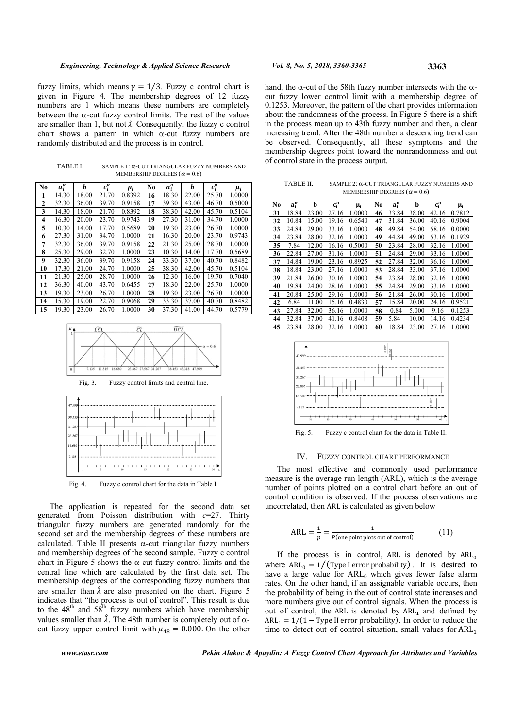fuzzy limits, which means  $\gamma = 1/3$ . Fuzzy c control chart is given in Figure 4. The membership degrees of 12 fuzzy numbers are 1 which means these numbers are completely between the  $\alpha$ -cut fuzzy control limits. The rest of the values are smaller than 1, but not  $\lambda$ . Consequently, the fuzzy c control chart shows a pattern in which  $\alpha$ -cut fuzzy numbers are randomly distributed and the process is in control.

| TABLE I. | SAMPLE 1: $\alpha$ -CUT TRIANGULAR FUZZY NUMBERS AND |
|----------|------------------------------------------------------|
|          | MEMBERSHIP DEGREES ( $\alpha$ = 0.6)                 |

| N <sub>0</sub> | $a_i^{\alpha}$ | h     | $c_i^{\alpha}$ | $\mu_i$ | No | $a_i^{\alpha}$ | h     | $c_i^{\alpha}$ | $\mu_i$ |
|----------------|----------------|-------|----------------|---------|----|----------------|-------|----------------|---------|
| 1              | 14.30          | 18.00 | 21.70          | 0.8392  | 16 | 18.30          | 22.00 | 25.70          | 1.0000  |
| $\mathbf{2}$   | 32.30          | 36.00 | 39.70          | 0.9158  | 17 | 39.30          | 43.00 | 46.70          | 0.5000  |
| 3              | 14.30          | 18.00 | 21.70          | 0.8392  | 18 | 38.30          | 42.00 | 45.70          | 0.5104  |
| 4              | 16.30          | 20.00 | 23.70          | 0.9743  | 19 | 27.30          | 31.00 | 34.70          | 1.0000  |
| 5              | 10.30          | 14.00 | 17.70          | 0.5689  | 20 | 19.30          | 23.00 | 26.70          | 1.0000  |
| 6              | 27.30          | 31.00 | 34.70          | 1.0000  | 21 | 16.30          | 20.00 | 23.70          | 0.9743  |
| 7              | 32.30          | 36.00 | 39.70          | 0.9158  | 22 | 21.30          | 25.00 | 28.70          | 1.0000  |
| 8              | 25.30          | 29.00 | 32.70          | 1.0000  | 23 | 10.30          | 14.00 | 17.70          | 0.5689  |
| 9              | 32.30          | 36.00 | 39.70          | 0.9158  | 24 | 33.30          | 37.00 | 40.70          | 0.8482  |
| 10             | 17.30          | 21.00 | 24.70          | 1.0000  | 25 | 38.30          | 42.00 | 45.70          | 0.5104  |
| 11             | 21.30          | 25.00 | 28.70          | 1.0000  | 26 | 12.30          | 16.00 | 19.70          | 0.7040  |
| 12             | 36.30          | 40.00 | 43.70          | 0.6455  | 27 | 18.30          | 22.00 | 25.70          | 1.0000  |
| 13             | 19.30          | 23.00 | 26.70          | 1.0000  | 28 | 19.30          | 23.00 | 26.70          | 1.0000  |
| 14             | 15.30          | 19.00 | 22.70          | 0.9068  | 29 | 33.30          | 37.00 | 40.70          | 0.8482  |
| 15             | 19.30          | 23.00 | 26.70          | 1.0000  | 30 | 37.30          | 41.00 | 44.70          | 0.5779  |



Fig. 3. Fuzzy control limits and central line.



The application is repeated for the second data set

generated from Poisson distribution with *c*=27. Thirty triangular fuzzy numbers are generated randomly for the second set and the membership degrees of these numbers are calculated. Table II presents  $\alpha$ -cut triangular fuzzy numbers and membership degrees of the second sample. Fuzzy c control chart in Figure 5 shows the  $\alpha$ -cut fuzzy control limits and the central line which are calculated by the first data set. The membership degrees of the corresponding fuzzy numbers that are smaller than  $\lambda$  are also presented on the chart. Figure 5 indicates that "the process is out of control". This result is due to the  $48<sup>th</sup>$  and  $58<sup>th</sup>$  fuzzy numbers which have membership values smaller than  $\lambda$ . The 48th number is completely out of  $\alpha$ cut fuzzy upper control limit with  $\mu_{48} = 0.000$ . On the other

hand, the  $\alpha$ -cut of the 58th fuzzy number intersects with the  $\alpha$ cut fuzzy lower control limit with a membership degree of 0.1253. Moreover, the pattern of the chart provides information about the randomness of the process. In Figure 5 there is a shift in the process mean up to 43th fuzzy number and then, a clear increasing trend. After the 48th number a descending trend can be observed. Consequently, all these symptoms and the membership degrees point toward the nonrandomness and out of control state in the process output.

| TABLE II. | SAMPLE 2: $\alpha$ -CUT TRIANGULAR FUZZY NUMBERS AND |
|-----------|------------------------------------------------------|
|           | MEMBERSHIP DEGREES ( $\alpha$ = 0.6)                 |

| $\bf No$ | $a_i^{\alpha}$ | b     | $c_i^{\alpha}$ | μ,     | No | $a_i^{\alpha}$ | b     | $c_i^{\alpha}$ | μ,     |
|----------|----------------|-------|----------------|--------|----|----------------|-------|----------------|--------|
| 31       | 18.84          | 23.00 | 27.16          | 1.0000 | 46 | 33.84          | 38.00 | 42.16          | 0.7812 |
| 32       | 10.84          | 15.00 | 19.16          | 0.6540 | 47 | 31.84          | 36.00 | 40.16          | 0.9004 |
| 33       | 24.84          | 29.00 | 33.16          | 1.0000 | 48 | 49.84          | 54.00 | 58.16          | 0.0000 |
| 34       | 23.84          | 28.00 | 32.16          | 1.0000 | 49 | 44.84          | 49.00 | 53.16          | 0.1929 |
| 35       | 7.84           | 12.00 | 16.16          | 0.5000 | 50 | 23.84          | 28.00 | 32.16          | 1.0000 |
| 36       | 22.84          | 27.00 | 31.16          | 1.0000 | 51 | 24.84          | 29.00 | 33.16          | 1.0000 |
| 37       | 14.84          | 19.00 | 23.16          | 0.8925 | 52 | 27.84          | 32.00 | 36.16          | 1.0000 |
| 38       | 18.84          | 23.00 | 27.16          | 1.0000 | 53 | 28.84          | 33.00 | 37.16          | 1.0000 |
| 39       | 21.84          | 26.00 | 30.16          | 1.0000 | 54 | 23.84          | 28.00 | 32.16          | 1.0000 |
| 40       | 19.84          | 24.00 | 28.16          | 1.0000 | 55 | 24.84          | 29.00 | 33.16          | 1.0000 |
| 41       | 20.84          | 25.00 | 29.16          | 1.0000 | 56 | 21.84          | 26.00 | 30.16          | 1.0000 |
| 42       | 6.84           | 11.00 | 15.16          | 0.4830 | 57 | 15.84          | 20.00 | 24.16          | 0.9521 |
| 43       | 27.84          | 32.00 | 36.16          | 1.0000 | 58 | 0.84           | 5.000 | 9.16           | 0.1253 |
| 44       | 32.84          | 37.00 | 41.16          | 0.8408 | 59 | 5.84           | 10.00 | 14.16          | 0.4234 |
| 45       | 23.84          | 28.00 | 32.16          | 1.0000 | 60 | 18.84          | 23.00 | 27.16          | 1.0000 |



Fig. 5. Fuzzy c control chart for the data in Table II.

#### IV. FUZZY CONTROL CHART PERFORMANCE

The most effective and commonly used performance measure is the average run length (ARL), which is the average number of points plotted on a control chart before an out of control condition is observed. If the process observations are uncorrelated, then ARL is calculated as given below

$$
ARL = \frac{1}{p} = \frac{1}{p(\text{one point plots out of control})}
$$
(11)

If the process is in control, ARL is denoted by  $ARL_0$ where  $ARL_0 = 1/(Type I error probability)$ . It is desired to have a large value for  $ARL<sub>0</sub>$  which gives fewer false alarm rates. On the other hand, if an assignable variable occurs, then the probability of being in the out of control state increases and more numbers give out of control signals. When the process is out of control, the ARL is denoted by  $ARL_1$  and defined by  $ARL<sub>1</sub> = 1/(1 - Type II)$  error probability). In order to reduce the time to detect out of control situation, small values for  $ARL_1$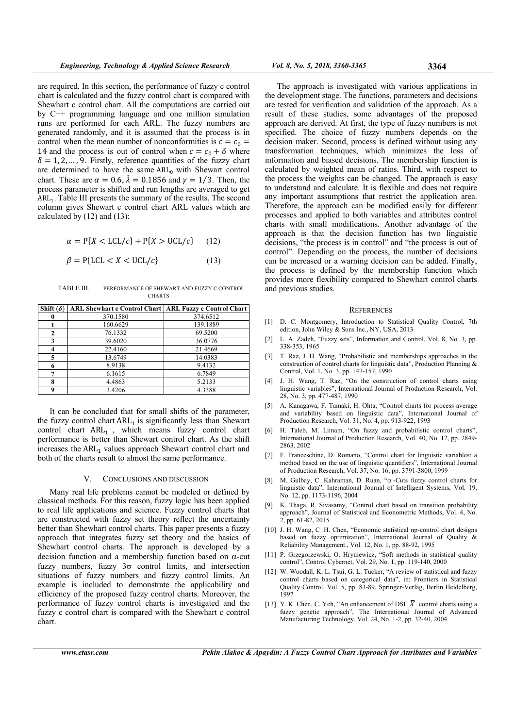are required. In this section, the performance of fuzzy c control chart is calculated and the fuzzy control chart is compared with Shewhart c control chart. All the computations are carried out by C++ programming language and one million simulation runs are performed for each ARL. The fuzzy numbers are generated randomly, and it is assumed that the process is in control when the mean number of nonconformities is  $c = c_0$  = 14 and the process is out of control when  $c = c_0 + \delta$  where  $\delta = 1, 2, ..., 9$ . Firstly, reference quantities of the fuzzy chart are determined to have the same  $ARL<sub>0</sub>$  with Shewart control chart. These are  $\alpha = 0.6$ ,  $\hat{\lambda} = 0.1856$  and  $\gamma = 1/3$ . Then, the process parameter is shifted and run lengths are averaged to get  $ARL<sub>1</sub>$ . Table III presents the summary of the results. The second column gives Shewart c control chart ARL values which are calculated by (12) and (13):

$$
\alpha = P\{X < LCL/c\} + P\{X > UCL/c\} \tag{12}
$$

$$
\beta = P\{LCL < X < UCL/c\} \tag{13}
$$

| TABLE III. | PERFORMANCE OF SHEWART AND FUZZY C CONTROL |
|------------|--------------------------------------------|
|            | <b>CHARTS</b>                              |

| Shift $(\delta)$ | ARL Shewhart c Control Chart   ARL Fuzzy c Control Chart |          |
|------------------|----------------------------------------------------------|----------|
| 0                | 370.1580                                                 | 374.6512 |
|                  | 160.6629                                                 | 139.1889 |
| <b>C</b>         | 76.1332                                                  | 69.5200  |
| 3                | 39.6020                                                  | 36.0776  |
|                  | 22.4160                                                  | 21.4669  |
|                  | 13.6749                                                  | 14.0383  |
|                  | 8.9138                                                   | 9.4132   |
|                  | 6.1615                                                   | 6.7849   |
| 8                | 4.4863                                                   | 5.2133   |
| 0                | 3.4206                                                   | 4.3388   |

It can be concluded that for small shifts of the parameter, the fuzzy control chart  $ARL<sub>1</sub>$  is significantly less than Shewart control chart  $ARL<sub>1</sub>$ , which means fuzzy control chart performance is better than Shewart control chart. As the shift increases the  $ARL<sub>1</sub>$  values approach Shewart control chart and both of the charts result to almost the same performance.

#### V. CONCLUSIONS AND DISCUSSION

Many real life problems cannot be modeled or defined by classical methods. For this reason, fuzzy logic has been applied to real life applications and science. Fuzzy control charts that are constructed with fuzzy set theory reflect the uncertainty better than Shewhart control charts. This paper presents a fuzzy approach that integrates fuzzy set theory and the basics of Shewhart control charts. The approach is developed by a decision function and a membership function based on  $\alpha$ -cut fuzzy numbers, fuzzy  $3\sigma$  control limits, and intersection situations of fuzzy numbers and fuzzy control limits. An example is included to demonstrate the applicability and efficiency of the proposed fuzzy control charts. Moreover, the performance of fuzzy control charts is investigated and the fuzzy c control chart is compared with the Shewhart c control chart.

The approach is investigated with various applications in the development stage. The functions, parameters and decisions are tested for verification and validation of the approach. As a result of these studies, some advantages of the proposed approach are derived. At first, the type of fuzzy numbers is not specified. The choice of fuzzy numbers depends on the decision maker. Second, process is defined without using any transformation techniques, which minimizes the loss of information and biased decisions. The membership function is calculated by weighted mean of ratios. Third, with respect to the process the weights can be changed. The approach is easy to understand and calculate. It is flexible and does not require any important assumptions that restrict the application area. Therefore, the approach can be modified easily for different processes and applied to both variables and attributes control charts with small modifications. Another advantage of the approach is that the decision function has two linguistic decisions, "the process is in control" and "the process is out of control". Depending on the process, the number of decisions can be increased or a warning decision can be added. Finally, the process is defined by the membership function which provides more flexibility compared to Shewhart control charts and previous studies.

#### **REFERENCES**

- [1] D. C. Montgomery, Introduction to Statistical Quality Control, 7th edition, John Wiley & Sons Inc., NY, USA, 2013
- [2] L. A. Zadeh, "Fuzzy sets", Information and Control, Vol. 8, No. 3, pp. 338-353, 1965
- [3] T. Raz, J. H. Wang, "Probabilistic and memberships approaches in the construction of control charts for linguistic data", Production Planning & Control, Vol. 1, No. 3, pp. 147-157, 1990
- [4] J. H. Wang, T. Raz, "On the construction of control charts using linguistic variables", International Journal of Production Research, Vol. 28, No. 3, pp. 477-487, 1990
- [5] A. Kanagawa, F. Tamaki, H. Ohta, "Control charts for process average and variability based on linguistic data", International Journal of Production Research, Vol. 31, No. 4, pp. 913-922, 1993
- [6] H. Taleb, M. Limam, "On fuzzy and probabilistic control charts", International Journal of Production Research, Vol. 40, No. 12, pp. 2849- 2863, 2002
- [7] F. Franceschine, D. Romano, "Control chart for linguistic variables: a method based on the use of linguistic quantifiers", International Journal of Production Research, Vol. 37, No. 16, pp. 3791-3800, 1999
- [8] M. Gulbay, C. Kahraman, D. Ruan, " $\alpha$  -Cuts fuzzy control charts for linguistic data", International Journal of Intelligent Systems, Vol. 19, No. 12, pp. 1173-1196, 2004
- [9] K. Thaga, R. Sivasamy, "Control chart based on transition probability approach", Journal of Statistical and Econometric Methods, Vol. 4, No. 2, pp. 61-82, 2015
- [10] J. H. Wang, C .H. Chen, "Economic statistical np-control chart designs based on fuzzy optimization", International Journal of Quality & Reliability Management., Vol. 12, No. 1, pp. 88-92, 1995
- [11] P. Grzegorzewski, O. Hryniewicz, "Soft methods in statistical quality control", Control Cybernet, Vol. 29, No. 1, pp. 119-140, 2000
- [12] W. Woodall, K. L. Tsui, G. L. Tucker, "A review of statistical and fuzzy control charts based on categorical data", in: Frontiers in Statistical Quality Control, Vol. 5, pp. 83-89, Springer-Verlag, Berlin Heidelberg, 1997
- [13] Y. K. Chen, C. Yeh, "An enhancement of DSI  $\overline{X}$  control charts using a fuzzy genetic approach", The International Journal of Advanced Manufacturing Technology, Vol. 24, No. 1-2, pp. 32-40, 2004